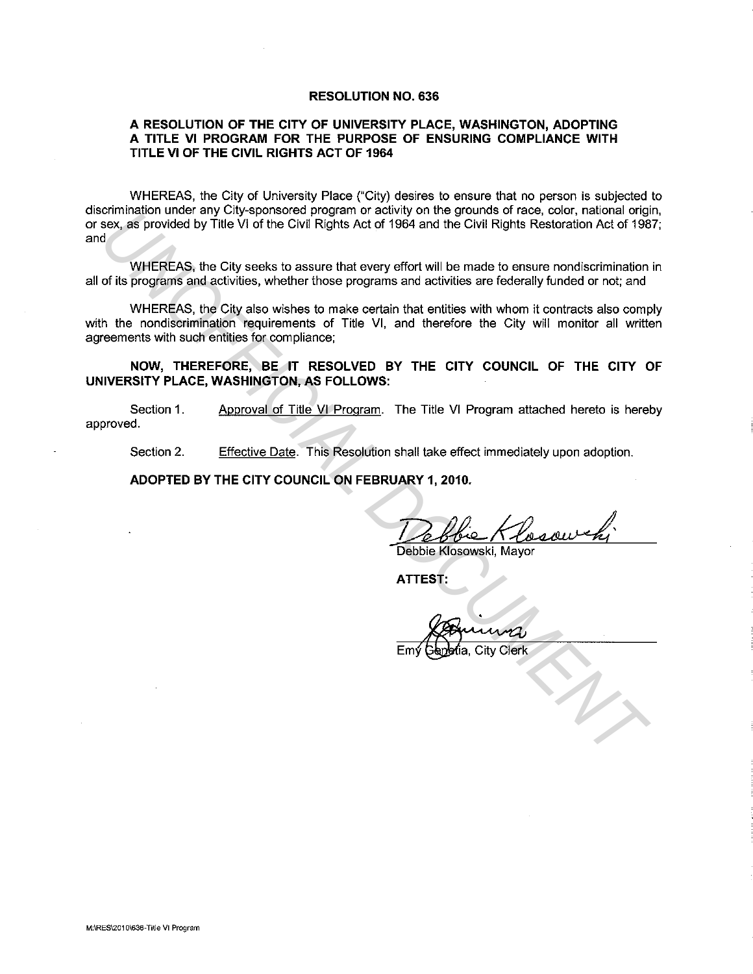#### **RESOLUTION NO. 636**

#### **A RESOLUTION OF THE CITY OF UNIVERSITY PLACE, WASHINGTON, ADOPTING A TITLE VI PROGRAM FOR THE PURPOSE OF ENSURING COMPLIANCE WITH TITLE VI OF THE CIVIL RIGHTS ACT OF 1964**

WHEREAS, the City of University Place ("City) desires to ensure that no person is subjected to discrimination under any City-sponsored program or activity on the grounds of race, color, national origin, or sex, as provided by Title VI of the Civil Rights Act of 1964 and the Civil Rights Restoration Act of 1987; and

WHEREAS, the City seeks to assure that every effort will be made to ensure nondiscrimination in all of its programs and activities, whether those programs and activities are federally funded or not; and

WHEREAS, the City also wishes to make certain that entities with whom it contracts also comply with the nondiscrimination requirements of Title VI, and therefore the City will monitor all written agreements with such entities for compliance; Entimated that any other last of the Civil Rights Act of 1964 and the Civil Rights Restoration Act of 1984<br>
WHEREAS, the City seeks to assure that every effort will be made to ensure nondiscrimination<br>
of its programs and

**NOW, THEREFORE, BE IT RESOLVED BY THE CITY COUNCIL OF THE CITY OF UNIVERSITY PLACE, WASHINGTON, AS FOLLOWS:** 

Section 1. approved. Approval of Title VI Program. The Title VI Program attached hereto is hereby

Section 2. Effective Date. This Resolution shall take effect immediately upon adoption.

**ADOPTED BY THE CITY COUNCIL ON FEBRUARY 1, 2010.** 

~Debbie Klosowski, Mayor

**ATTEST:**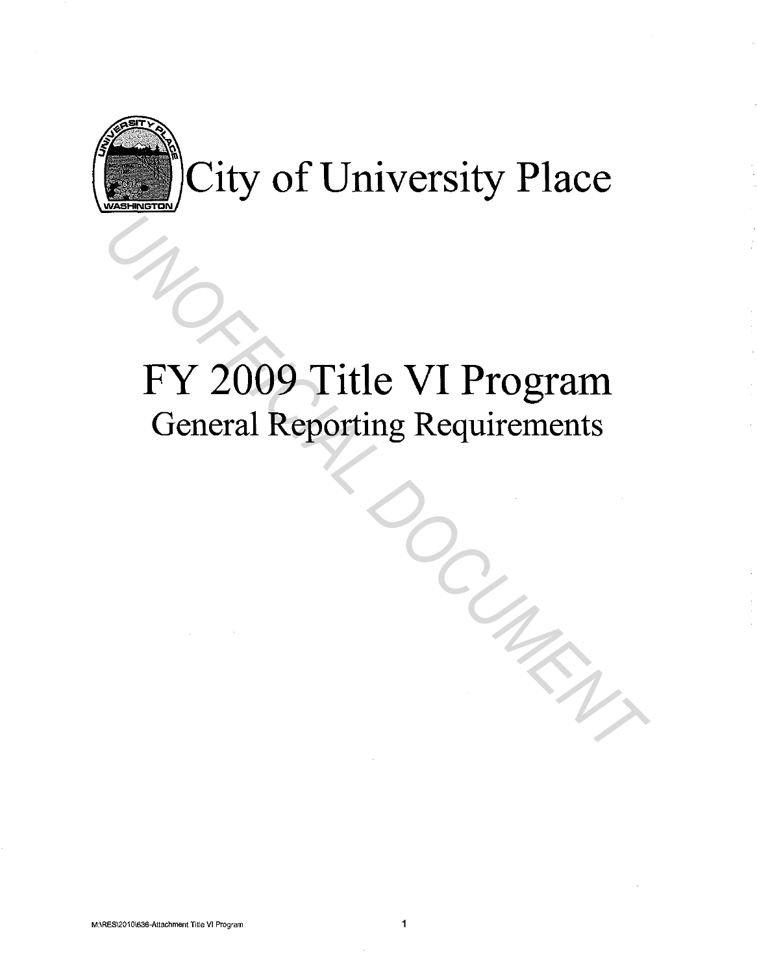

# FY 2009 Title VI Program General Reporting Requirements FY 2009 Title VI Program<br>General Reporting Requirements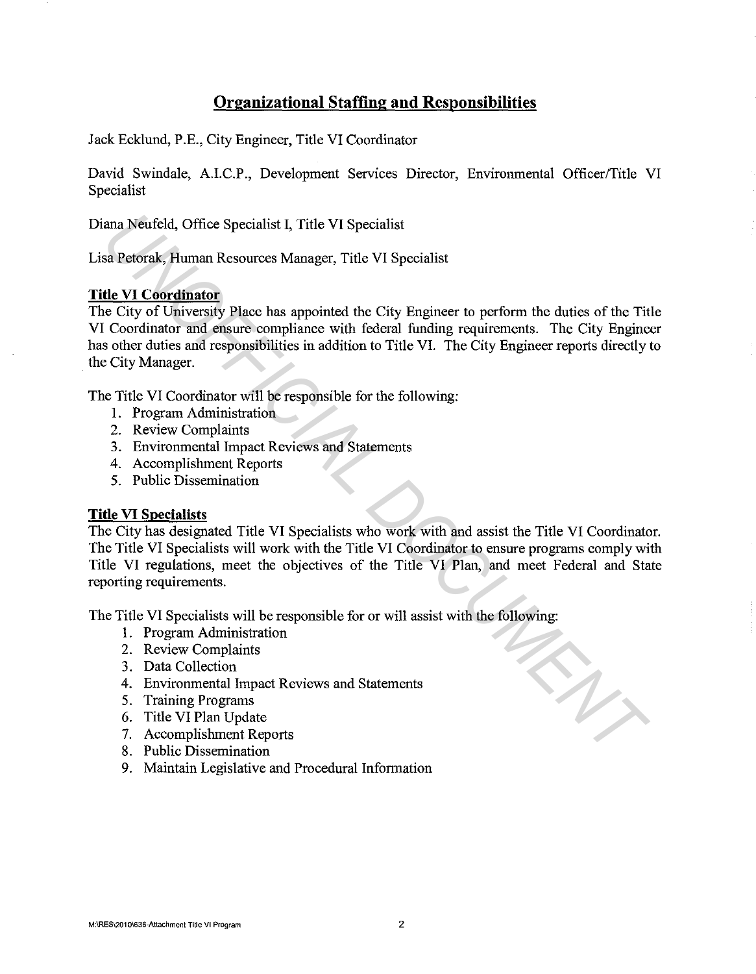# **Organizational Staffing and Responsibilities**

Jack Ecklund, P.E., City Engineer, Title VI Coordinator

David Swindale, A.I.C.P., Development Services Director, Environmental Officer/Title VI Specialist

Diana Neufeld, Office Specialist I, Title VI Specialist

Lisa Petorak, Human Resources Manager, Title VI Specialist

# **Title VI Coordinator**

The City of University Place has appointed the City Engineer to perform the duties of the Title VI Coordinator and ensure compliance with federal funding requirements. The City Engineer has other duties and responsibilities in addition to Title VI. The City Engineer reports directly to the City Manager. ana Neufeld, Office Specialist I, Title VI Specialist<br>
sa Petorak, Human Resources Manager, Title VI Specialist<br>
<u>the VI Coordinator</u><br>
<u>Ue VI Coordinator</u><br>
City of University Place has appointed the City Engineer to perfor

The Title VI Coordinator will be responsible for the following:

- 1. Program Administration
- 2. Review Complaints
- 3. Environmental Impact Reviews and Statements
- 4. Accomplishment Reports
- 5. Public Dissemination

# **Title VI Specialists**

The City has designated Title VI Specialists who work with and assist the Title VI Coordinator. The Title VI Specialists will work with the Title VI Coordinator to ensure programs comply with Title VI regulations, meet the objectives of the Title VI Plan, and meet Federal and State reporting requirements.

The Title VI Specialists will be responsible for or will assist with the following:

- 1. Program Administration
- 2. Review Complaints
- 3. Data Collection
- 4. Environmental Impact Reviews and Statements
- 5. Training Programs
- 6. Title VI Plan Update
- 7. Accomplishment Reports
- 8. Public Dissemination
- 9. Maintain Legislative and Procedural Information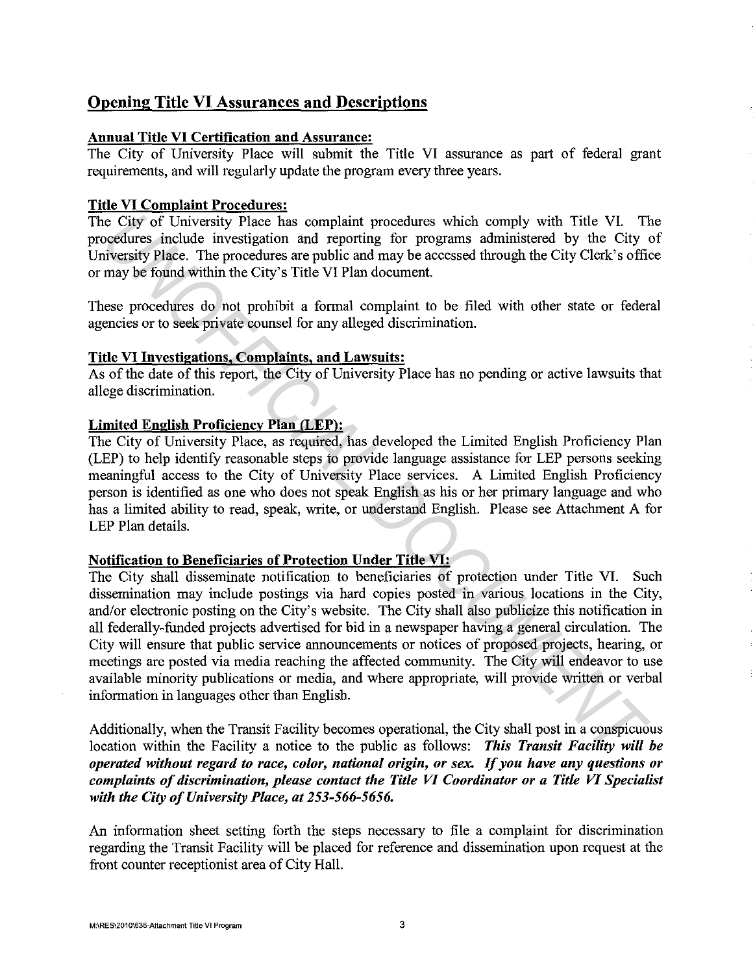# Opening Title VI Assurances and Descriptions

# Annual Title VI Certification and Assurance:

The City of University Place will submit the Title VI assurance as part of federal grant requirements, and will regularly update the program every three years.

## Title VI Complaint Procedures:

The City of University Place has complaint procedures which comply with Title VI. The procedures include investigation and reporting for programs administered by the City of University Place. The procedures are public and may be accessed through the City Clerk's office or may be found within the City's Title VI Plan document.

These procedures do not prohibit a formal complaint to be filed with other state or federal agencies or to seek private counsel for any alleged discrimination.

## Title VI Investigations, Complaints, and Lawsuits:

As of the date of this report, the City of University Place has no pending or active lawsuits that allege discrimination.

# Limited English Proficiency Plan (LEP):

The City of University Place, as required, has developed the Limited English Proficiency Plan (LEP) to help identify reasonable steps to provide language assistance for LEP persons seeking meaningful access to the City of University Place services. A Limited English Proficiency person is identified as one who does not speak English as his or her primary language and who has a limited ability to read, speak, write, or understand English. Please see Attachment A for LEP Plan details.

#### Notification to Beneficiaries of Protection Under Title VI:

The City shall disseminate notification to beneficiaries of protection under Title VI. Such dissemination may include postings via hard copies posted in various locations in the City, and/or electronic posting on the City's website. The City shall also publicize this notification in all federally-funded projects advertised for bid in a newspaper having a general circulation. The City will ensure that public service announcements or notices of proposed projects, hearing, or meetings are posted via media reaching the affected community. The City will endeavor to use available minority publications or media, and where appropriate, will provide written or verbal information in languages other than English. ic City of University Place has complaint procedures which comply with Title VI. The views include investigation and reporting for programs administered by the City Clerk's official inversity Place. The procedures are publ

Additionally, when the Transit Facility becomes operational, the City shall post in a conspicuous location within the Facility a notice to the public as follows: *This Transit Facility will be operated without regard to race, color, national origin, or sex. If you have any questions or complaints of discrimination, please contact the Title VI Coordinator or a Title VI Specialist with the City of University Place, at 253-566-5656.* 

An information sheet setting forth the steps necessary to file a complaint for discrimination regarding the Transit Facility will be placed for reference and dissemination upon request at the front counter receptionist area of City Hall.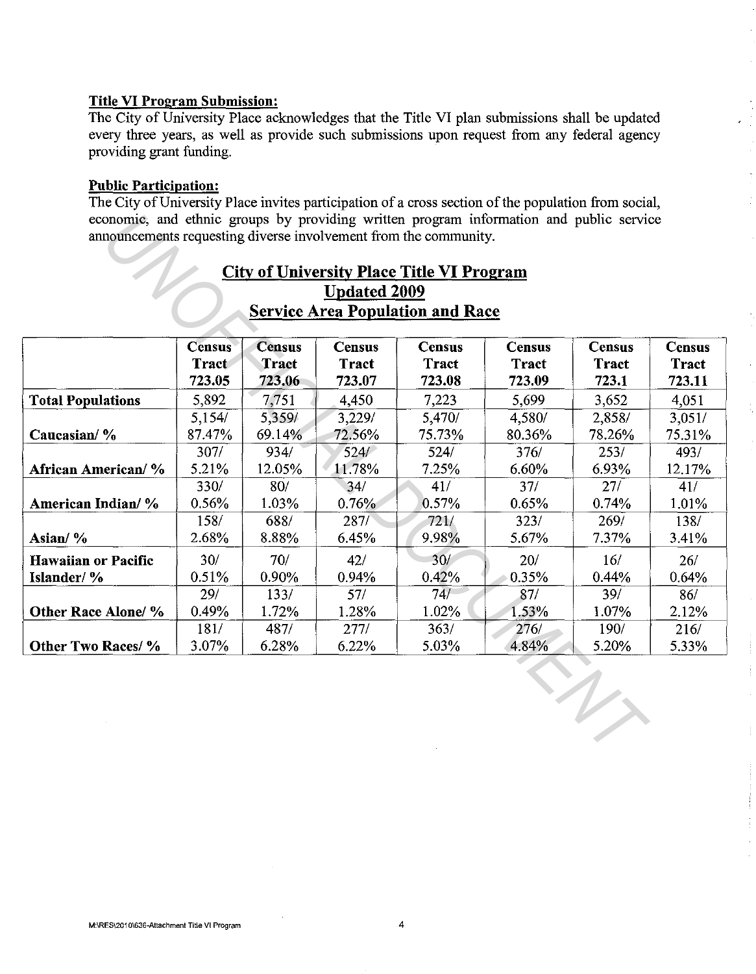### **Title VI Program Submission:**

The City of University Place acknowledges that the Title VI plan submissions shall be updated every three years, as well as provide such submissions upon request from any federal agency providing grant funding.

### **Public Participation:**

The City of University Place invites participation of a cross section of the population from social, economic, and ethnic groups by providing written program information and public service announcements requesting diverse involvement from the community.

| <b>City of University Place Title VI Program</b><br><b>Updated 2009</b> |                 |                        |                        |                        |                        |                       |                        |  |  |
|-------------------------------------------------------------------------|-----------------|------------------------|------------------------|------------------------|------------------------|-----------------------|------------------------|--|--|
| <b>Service Area Population and Race</b>                                 |                 |                        |                        |                        |                        |                       |                        |  |  |
|                                                                         | <b>Census</b>   | <b>Census</b>          | <b>Census</b>          | <b>Census</b>          | <b>Census</b>          | <b>Census</b>         | <b>Census</b>          |  |  |
|                                                                         | Tract<br>723.05 | <b>Tract</b><br>723.06 | <b>Tract</b><br>723.07 | <b>Tract</b><br>723.08 | <b>Tract</b><br>723.09 | <b>Tract</b><br>723.1 | <b>Tract</b><br>723.11 |  |  |
| <b>Total Populations</b>                                                | 5.892           | 7,751                  | 4.450                  | 7,223                  | 5,699                  | 3,652                 | 4,051                  |  |  |
|                                                                         | 5,154/          | 5.359/                 | 3,229/                 | 5,470/                 | 4,580/                 | 2,858/                | 3,051/                 |  |  |
| Caucasian/%                                                             | 87.47%          | 69.14%                 | 72.56%                 | 75.73%                 | 80.36%                 | 78.26%                | 75.31%                 |  |  |
|                                                                         | 307/            | 934/                   | 524/                   | 524/                   | 376/                   | 253/                  | 493/                   |  |  |
| African American/%                                                      | 5.21%           | 12.05%                 | 11.78%                 | 7.25%                  | 6.60%                  | 6.93%                 | 12.17%                 |  |  |
|                                                                         | 330/            | 80/                    | 34/                    | 41/                    | 37/                    | 27/                   | 41/                    |  |  |
| American Indian/ %                                                      | 0.56%           | 1.03%                  | 0.76%                  | 0.57%                  | 0.65%                  | 0.74%                 | 1.01%                  |  |  |
|                                                                         | 158/            | 688/                   | 287/                   | 721/                   | 323/                   | 269/                  | 138/                   |  |  |
| Asian/%                                                                 | 2.68%           | 8.88%                  | 6.45%                  | 9.98%                  | 5.67%                  | 7.37%                 | 3.41%                  |  |  |
| <b>Hawaiian or Pacific</b>                                              | 30/             | 70/                    | 42/                    | 30/                    | 20/                    | 16/                   | 26/                    |  |  |
| Islander/%                                                              | 0.51%           | 0.90%                  | 0.94%                  | 0.42%                  | 0.35%                  | 0.44%                 | 0.64%                  |  |  |
|                                                                         | 29/             | 133/                   | 57/                    | 74/                    | 87/                    | 39/                   | 86/                    |  |  |
|                                                                         | 0.49%           | 1.72%                  | 1.28%                  | 1.02%                  | 1.53%                  | 1.07%                 | 2.12%                  |  |  |
|                                                                         |                 |                        | 277/                   | 363/                   | 276/                   | 190/                  | 216/                   |  |  |
| Other Race Alone/ %                                                     | 181/            | 487/                   |                        |                        |                        |                       |                        |  |  |

# **City of University Place Title VI Program Updated 2009 Service Area Population and Race**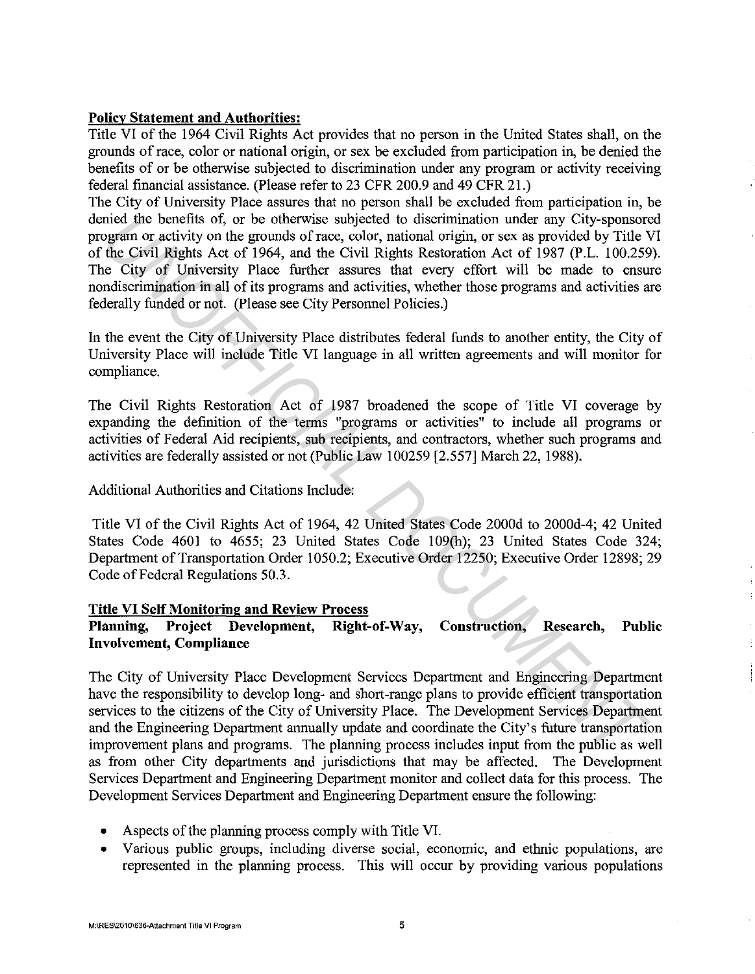# **Policy Statement and Authorities:**

Title VI of the 1964 Civil Rights Act provides that no person in the United States shall, on the grounds of race, color or national origin, or sex be excluded from participation in, be denied the benefits of or be otherwise subjected to discrimination under any program or activity receiving federal financial assistance. (Please refer to 23 CFR 200.9 and 49 CFR 21.)

The City of University Place assures that no person shall be excluded from participation in, be denied the benefits of, or be otherwise subjected to discrimination under any City-sponsored program or activity on the grounds of race, color, national origin, or sex as provided by Title VI of the Civil Rights Act of 1964, and the Civil Rights Restoration Act of 1987 (P .L. 100.259). The City of University Place further assures that every effort will be made to ensure nondiscrimination in all of its programs and activities, whether those programs and activities are federally funded or not. (Please see City Personnel Policies.) mied the benefits of, or be otherwise subjected to discrimination under any City-sponsor<br>ugam or activity on the grounds of race, color, national origin, or sex as provided by Title V<br>de Civil Rights Act of 1964, and the C

In the event the City of University Place distributes federal funds to another entity, the City of University Place will include Title VI language in all written agreements and will monitor for compliance.

The Civil Rights Restoration Act of 1987 broadened the scope of Title VI coverage by expanding the definition of the terms "programs or activities" to include all programs or activities of Federal Aid recipients, sub recipients, and contractors, whether such programs and activities are federally assisted or not (Public Law 100259 [2.557] March 22, 1988).

Additional Authorities and Citations Include:

Title VI of the Civil Rights Act of 1964, 42 United States Code 2000d to 2000d-4; 42 United States Code 4601 to 4655; 23 United States Code 109(h); 23 United States Code 324; Department of Transportation Order 1050.2; Executive Order 12250; Executive Order 12898; 29 Code of Federal Regulations 50.3.

# **Title VI Self Monitoring and Review Process**

# **Planning, Project Development, Right-of-Way, Construction, Research, Public Involvement, Compliance**

The City of University Place Development Services Department and Engineering Department have the responsibility to develop long- and short-range plans to provide efficient transportation services to the citizens of the City of University Place. The Development Services Department and the Engineering Department armually update and coordinate the City's future transportation improvement plans and programs. The plarming process includes input from the public as well as from other City departments and jurisdictions that may be affected. The Development Services Department and Engineering Department monitor and collect data for this process. The Development Services Department and Engineering Department ensure the following:

- Aspects of the plarming process comply with Title VI.
- Various public groups, including diverse social, economic, and ethnic populations, are represented in the planning process. This will occur by providing various populations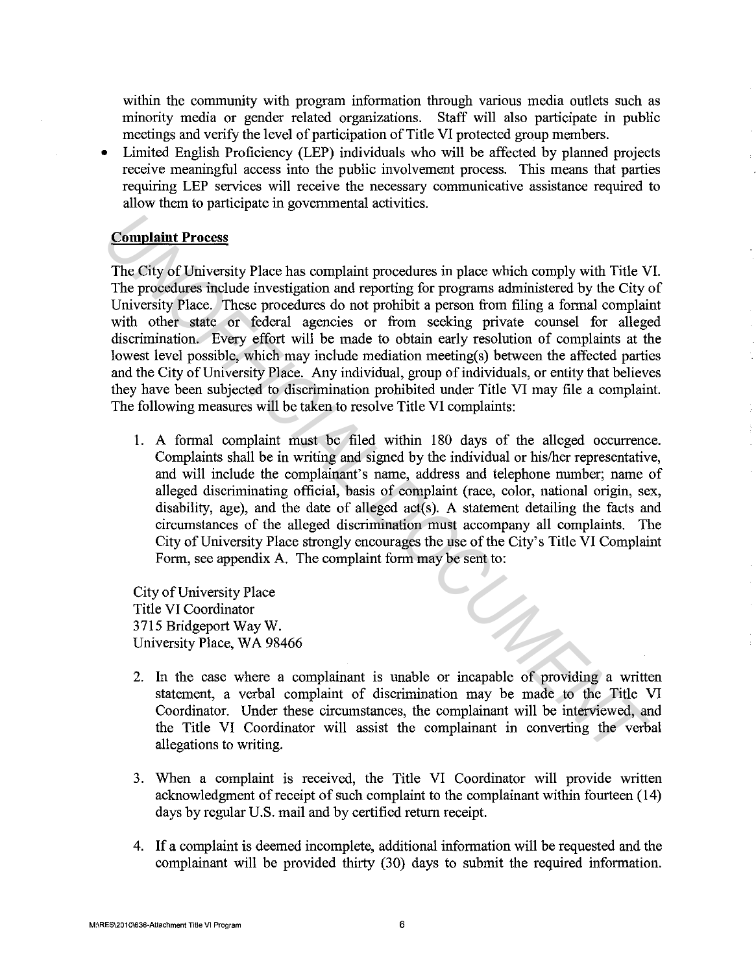within the community with program information through various media outlets such as minority media or gender related organizations. Staff will also participate in public meetings and verify the level of participation of Title VI protected group members.

• Limited English Proficiency (LEP) individuals who will be affected by planned projects receive meaningful access into the public involvement process. This means that parties requiring LEP services will receive the necessary communicative assistance required to allow them to participate in govermnental activities.

# **Complaint Process**

The City of University Place has complaint procedures in place which comply with Title VI. The procedures include investigation and reporting for programs administered by the City of University Place. These procedures do not prohibit a person from filing a formal complaint with other state or federal agencies or from seeking private counsel for alleged discrimination. Every effort will be made to obtain early resolution of complaints at the lowest level possible, which may include mediation meeting(s) between the affected parties and the City of University Place. Any individual, group of individuals, or entity that believes they have been subjected to discrimination prohibited under Title VI may file a complaint. The following measures will be taken to resolve Title VI complaints: **Complaint Process**<br>
The City of University Place has complaint procedures in place which comply with Title VI<br>
The procedures include investigation and reporting for programs administered by the City<br>
University Place. Th

1. A formal complaint must be filed within 180 days of the alleged occurrence. Complaints shall be in writing and signed by the individual or his/her representative, and will include the complainant's name, address and telephone number; name of alleged discriminating official, basis of complaint (race, color, national origin, sex, disability, age), and the date of alleged  $act(s)$ . A statement detailing the facts and circumstances of the alleged discrimination must accompany all complaints. The City of University Place strongly encourages the use of the City's Title VI Complaint Form, see appendix A. The complaint form may be sent to:

City of University Place Title VI Coordinator 3715 Bridgeport Way W. University Place, WA 98466

- 2. In the case where a complainant is unable or incapable of providing a written statement, a verbal complaint of discrimination may be made to the Title VI Coordinator. Under these circumstances, the complainant will be interviewed, and the Title VI Coordinator will assist the complainant in converting the verbal allegations to writing.
- 3. When a complaint is received, the Title VI Coordinator will provide written acknowledgment of receipt of such complaint to the complainant within fourteen ( 14) days by regular U.S. mail and by certified return receipt.
- 4. If a complaint is deemed incomplete, additional information will be requested and the complainant will be provided thirty (30) days to submit the required information.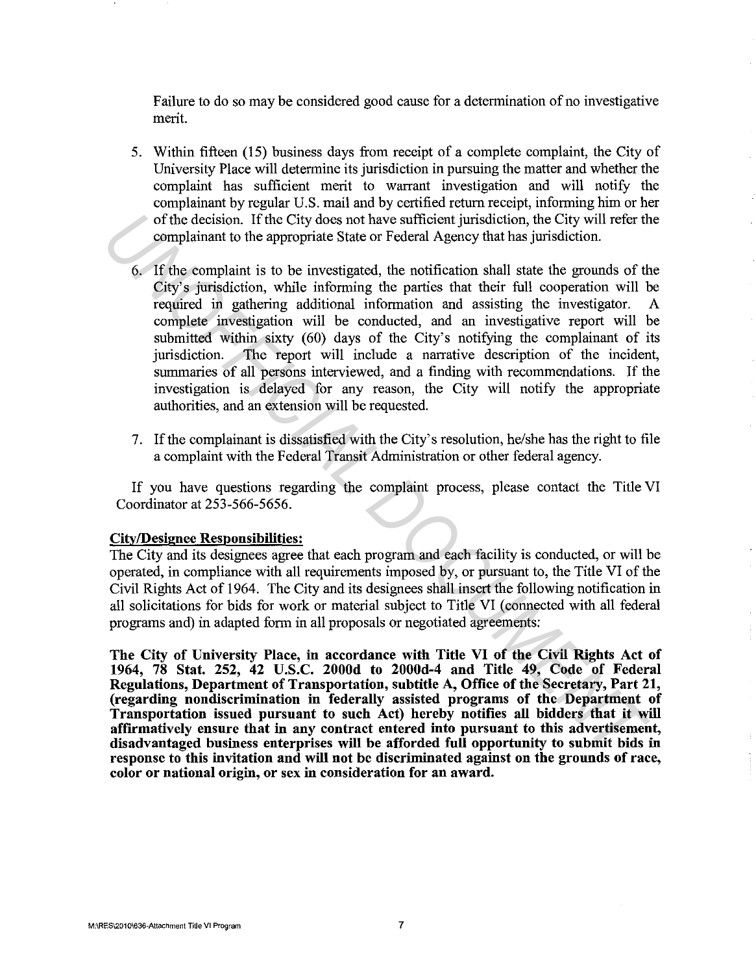Failure to do so may be considered good cause for a determination of no investigative merit.

- 5. Within fifteen (15) business days from receipt of a complete complaint, the City of University Place will determine its jurisdiction in pursuing the matter and whether the complaint has sufficient merit to warrant investigation and will notify the complainant by regular U.S. mail and by certified return receipt, informing him or her of the decision. If the City does not have sufficient jurisdiction, the City will refer the complainant to the appropriate State or Federal Agency that has jurisdiction.
- 6. If the complaint is to be investigated, the notification shall state the grounds of the City's jurisdiction, while informing the parties that their full cooperation will be required in gathering additional information and assisting the investigator. A complete investigation will be conducted, and an investigative report will be submitted within sixty (60) days of the City's notifying the complainant of its jurisdiction. The report will include a narrative description of the incident, summaries of all persons interviewed, and a finding with recommendations. If the investigation is delayed for any reason, the City will notify the appropriate authorities, and an extension will be requested. of the decision. If the City does not have sufficient jurisdiction, the City will refer the complainant to the appropriate State or Federal Agency that has jurisdiction.<br>6. If the complaint is to be investigated, the notif
	- 7. If the complainant is dissatisfied with the City's resolution, he/she has the right to file a complaint with the Federal Transit Administration or other federal agency.

If you have questions regarding the complaint process, please contact the Title VI Coordinator at 253-566-5656.

#### City/Designee Responsibilities:

The City and its designees agree that each program and each facility is conducted, or will be operated, in compliance with all requirements imposed by, or pursuant to, the Title VI of the Civil Rights Act of 1964. The City and its designees shall insert the following notification in all solicitations for bids for work or material subject to Title VI (connected with all federal programs and) in adapted form in all proposals or negotiated agreements:

The City of University Place, in accordance with Title VI of the Civil Rights Act of 1964, 78 Stat. 252, 42 U.S.C. 2000d to 2000d-4 and Title 49, Code of Federal Regulations, Department of Transportation, subtitle A, Office of the Secretary, Part 21, (regarding nondiscrimination in federally assisted programs of the Department of Transportation issued pursuant to such Act) hereby notifies all bidders that it will affirmatively ensure that in any contract entered into pursuant to this advertisement, disadvantaged business enterprises will be afforded full opportunity to submit bids in response to this invitation and will not be discriminated against on the grounds of race, color or national origin, or sex in consideration for an award.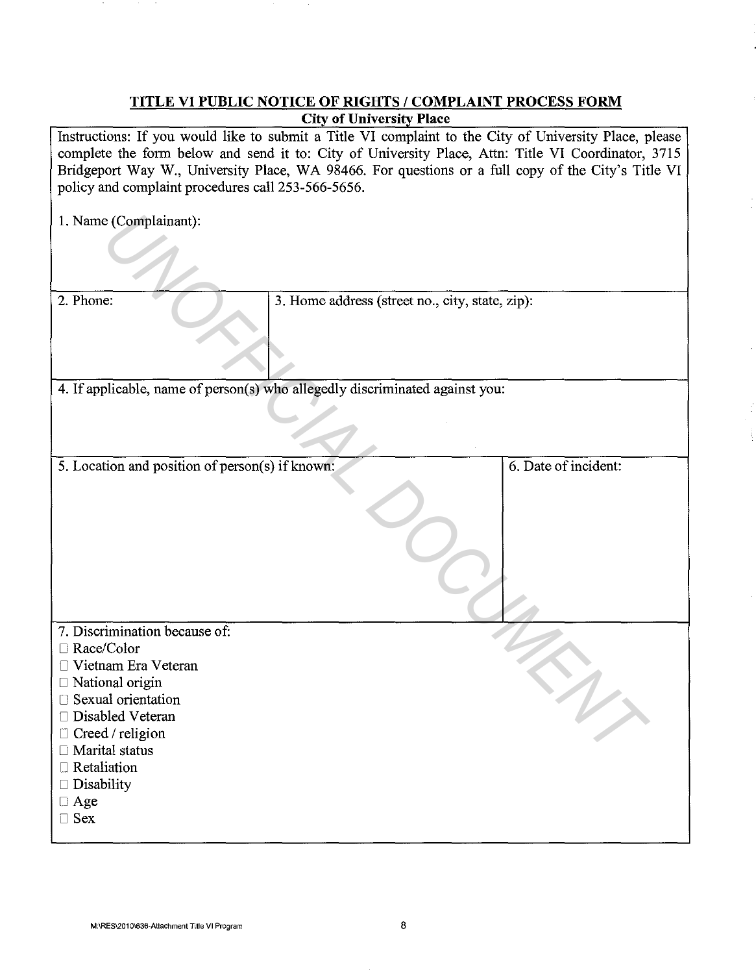# **TITLE VI PUBLIC NOTICE OF RIGHTS I COMPLAINT PROCESS FORM City of University Place**

Instructions: If you would like to submit a Title VI complaint to the City of University Place, please complete the form below and send it to: City of University Place, Attn: Title VI Coordinator, 3715 Bridgeport Way W., University Place, WA 98466. For questions or a full copy of the City's Title VI policy and complaint procedures call 253-566-5656.

| 1. Name (Complainant):                          |                                                                              |                      |
|-------------------------------------------------|------------------------------------------------------------------------------|----------------------|
|                                                 |                                                                              |                      |
| 2. Phone:                                       | 3. Home address (street no., city, state, zip):                              |                      |
|                                                 |                                                                              |                      |
|                                                 |                                                                              |                      |
|                                                 | 4. If applicable, name of person(s) who allegedly discriminated against you: |                      |
|                                                 |                                                                              |                      |
|                                                 |                                                                              |                      |
| 5. Location and position of person(s) if known: |                                                                              | 6. Date of incident: |
|                                                 |                                                                              |                      |
|                                                 |                                                                              |                      |
|                                                 |                                                                              |                      |
|                                                 |                                                                              |                      |
|                                                 |                                                                              |                      |
|                                                 |                                                                              |                      |
|                                                 |                                                                              |                      |
|                                                 |                                                                              |                      |
| 7. Discrimination because of:                   |                                                                              |                      |
| □ Race/Color                                    |                                                                              |                      |
| Vietnam Era Veteran<br>П                        |                                                                              |                      |
| $\Box$ National origin                          |                                                                              |                      |
| □ Sexual orientation                            |                                                                              |                      |
| Disabled Veteran<br>Creed / religion<br>$\Box$  |                                                                              |                      |
| □ Marital status                                |                                                                              |                      |
|                                                 |                                                                              |                      |

- 7. Discrimination because of:
- □ Race/Color
- D Vietnam Era Veteran
- $\Box$  National origin
- [] Sexual orientation
- □ Disabled Veteran
- $\Box$  Creed / religion
- □ Marital status
- D Retaliation
- $\Box$  Disability
- D Age
- D Sex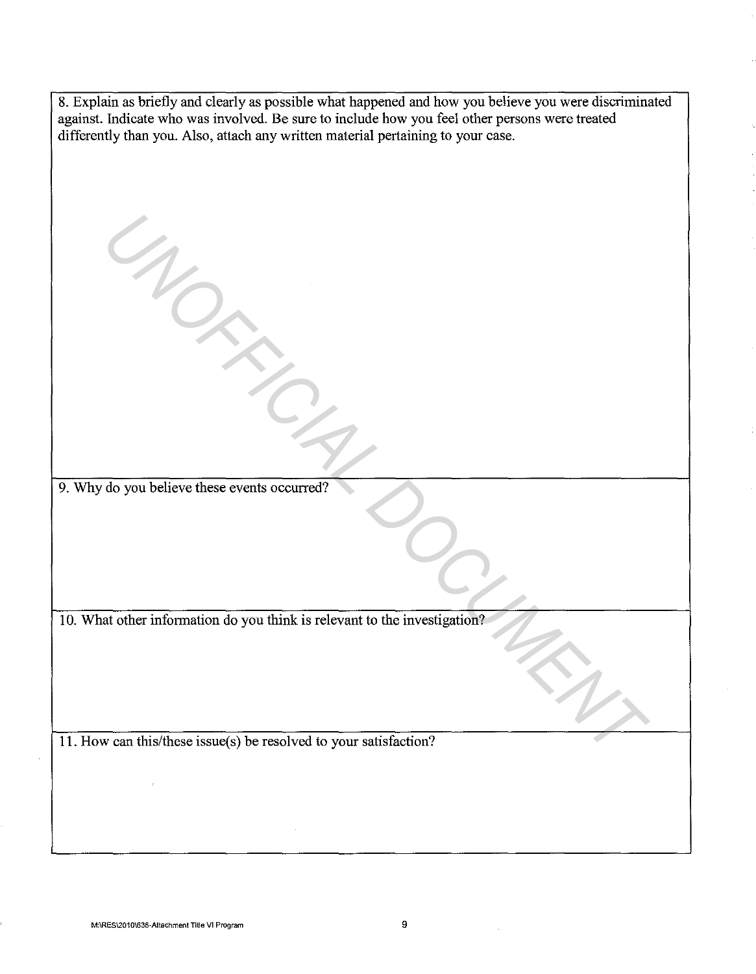| 8. Explain as briefly and clearly as possible what happened and how you believe you were discriminated<br>against. Indicate who was involved. Be sure to include how you feel other persons were treated<br>differently than you. Also, attach any written material pertaining to your case. |
|----------------------------------------------------------------------------------------------------------------------------------------------------------------------------------------------------------------------------------------------------------------------------------------------|
|                                                                                                                                                                                                                                                                                              |
|                                                                                                                                                                                                                                                                                              |
|                                                                                                                                                                                                                                                                                              |
|                                                                                                                                                                                                                                                                                              |
|                                                                                                                                                                                                                                                                                              |
|                                                                                                                                                                                                                                                                                              |
|                                                                                                                                                                                                                                                                                              |
|                                                                                                                                                                                                                                                                                              |
|                                                                                                                                                                                                                                                                                              |
|                                                                                                                                                                                                                                                                                              |
|                                                                                                                                                                                                                                                                                              |
|                                                                                                                                                                                                                                                                                              |
|                                                                                                                                                                                                                                                                                              |
| 9. Why do you believe these events occurred?                                                                                                                                                                                                                                                 |
|                                                                                                                                                                                                                                                                                              |
|                                                                                                                                                                                                                                                                                              |
|                                                                                                                                                                                                                                                                                              |
|                                                                                                                                                                                                                                                                                              |
| 10. What other information do you think is relevant to the investigation?                                                                                                                                                                                                                    |
|                                                                                                                                                                                                                                                                                              |
|                                                                                                                                                                                                                                                                                              |
|                                                                                                                                                                                                                                                                                              |
|                                                                                                                                                                                                                                                                                              |
| 11. How can this/these issue(s) be resolved to your satisfaction?                                                                                                                                                                                                                            |
|                                                                                                                                                                                                                                                                                              |
| ł.                                                                                                                                                                                                                                                                                           |
|                                                                                                                                                                                                                                                                                              |
|                                                                                                                                                                                                                                                                                              |

 $\mathcal{L}$ 

 $\mathcal{L}^{\text{max}}_{\text{max}}$